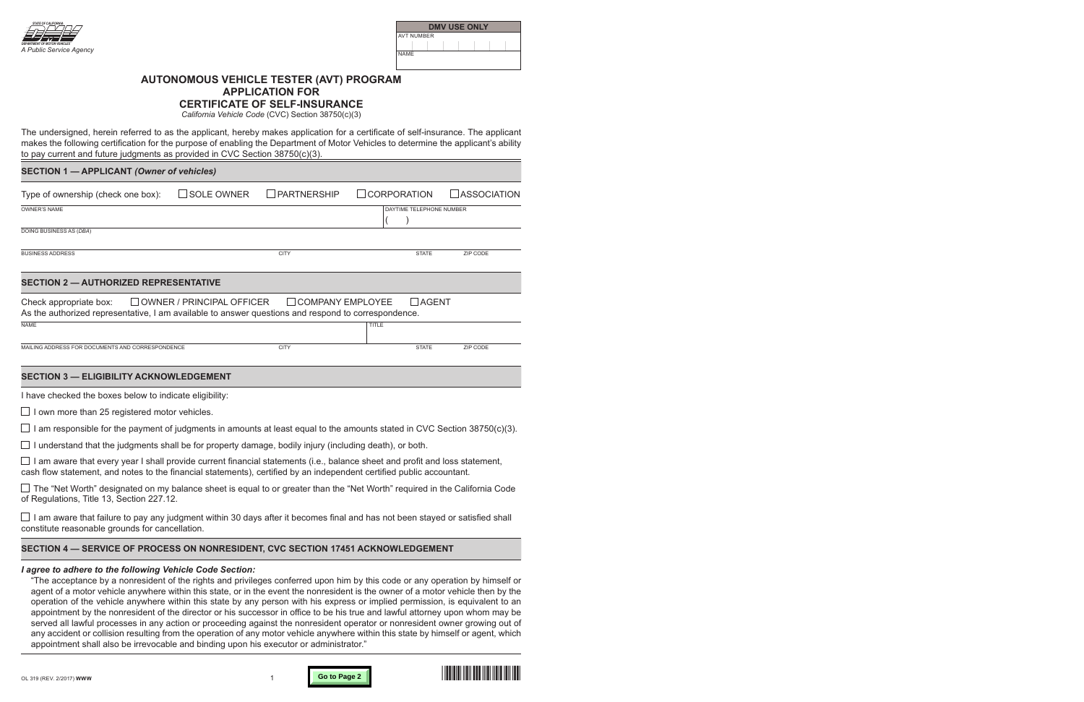

| <b>DMV USE ONLY</b> |  |  |  |  |  |  |
|---------------------|--|--|--|--|--|--|
| AVT NUMBER          |  |  |  |  |  |  |
|                     |  |  |  |  |  |  |
| NAME                |  |  |  |  |  |  |

# **AUTONOMOUS VEHICLE TESTER (AVT) PROGRAM APPLICATION FOR**

**CERTIFICATE OF SELF-INSURANCE**

*California Vehicle Code* (CVC) Section 38750(c)(3)

The undersigned, herein referred to as the applicant, hereby makes application for a certificate of self-insurance. The applicant makes the following certification for the purpose of enabling the Department of Motor Vehicles to determine the applicant's ability to pay current and future judgments as provided in CVC Section 38750(c)(3).

## **SECTION 1 — APPLICANT** *(Owner of vehicles)*

| Type of ownership (check one box):                                                                                            | $\square$ SOLE OWNER      | $\Box$ PARTNERSHIP      | <b>CORPORATION</b> |                          | $\Box$ ASSOCIATION |
|-------------------------------------------------------------------------------------------------------------------------------|---------------------------|-------------------------|--------------------|--------------------------|--------------------|
| <b>OWNER'S NAME</b>                                                                                                           |                           |                         |                    | DAYTIME TELEPHONE NUMBER |                    |
| DOING BUSINESS AS (DBA)                                                                                                       |                           |                         |                    |                          |                    |
| <b>BUSINESS ADDRESS</b>                                                                                                       |                           | <b>CITY</b>             |                    | <b>STATE</b>             | ZIP CODE           |
| <b>SECTION 2 - AUTHORIZED REPRESENTATIVE</b>                                                                                  |                           |                         |                    |                          |                    |
| Check appropriate box:<br>As the authorized representative, I am available to answer questions and respond to correspondence. | OWNER / PRINCIPAL OFFICER | $\Box$ COMPANY EMPLOYEE |                    | <b>AGENT</b>             |                    |
| <b>NAME</b>                                                                                                                   |                           |                         | <b>TITLE</b>       |                          |                    |
| MAILING ADDRESS FOR DOCUMENTS AND CORRESPONDENCE                                                                              |                           | <b>CITY</b>             |                    | <b>STATE</b>             | ZIP CODE           |

## **SECTION 3 — ELIGIBILITY ACKNOWLEDGEMENT**

I have checked the boxes below to indicate eligibility:

 $\Box$  I own more than 25 registered motor vehicles.

 $\Box$  I am responsible for the payment of judgments in amounts at least equal to the amounts stated in CVC Section 38750(c)(3).

 $\Box$  I understand that the judgments shall be for property damage, bodily injury (including death), or both.

 $\Box$  I am aware that every year I shall provide current financial statements (i.e., balance sheet and profit and loss statement, cash flow statement, and notes to the financial statements), certified by an independent certified public accountant.

 $\Box$  The "Net Worth" designated on my balance sheet is equal to or greater than the "Net Worth" required in the California Code of Regulations, Title 13, Section 227.12.

 $\Box$  I am aware that failure to pay any judgment within 30 days after it becomes final and has not been stayed or satisfied shall constitute reasonable grounds for cancellation.

# **SECTION 4 — SERVICE OF PROCESS ON NONRESIDENT, CVC SECTION 17451 ACKNOWLEDGEMENT**

## *I agree to adhere to the following Vehicle Code Section:*

"The acceptance by a nonresident of the rights and privileges conferred upon him by this code or any operation by himself or agent of a motor vehicle anywhere within this state, or in the event the nonresident is the owner of a motor vehicle then by the operation of the vehicle anywhere within this state by any person with his express or implied permission, is equivalent to an appointment by the nonresident of the director or his successor in office to be his true and lawful attorney upon whom may be served all lawful processes in any action or proceeding against the nonresident operator or nonresident owner growing out of any accident or collision resulting from the operation of any motor vehicle anywhere within this state by himself or agent, which appointment shall also be irrevocable and binding upon his executor or administrator."



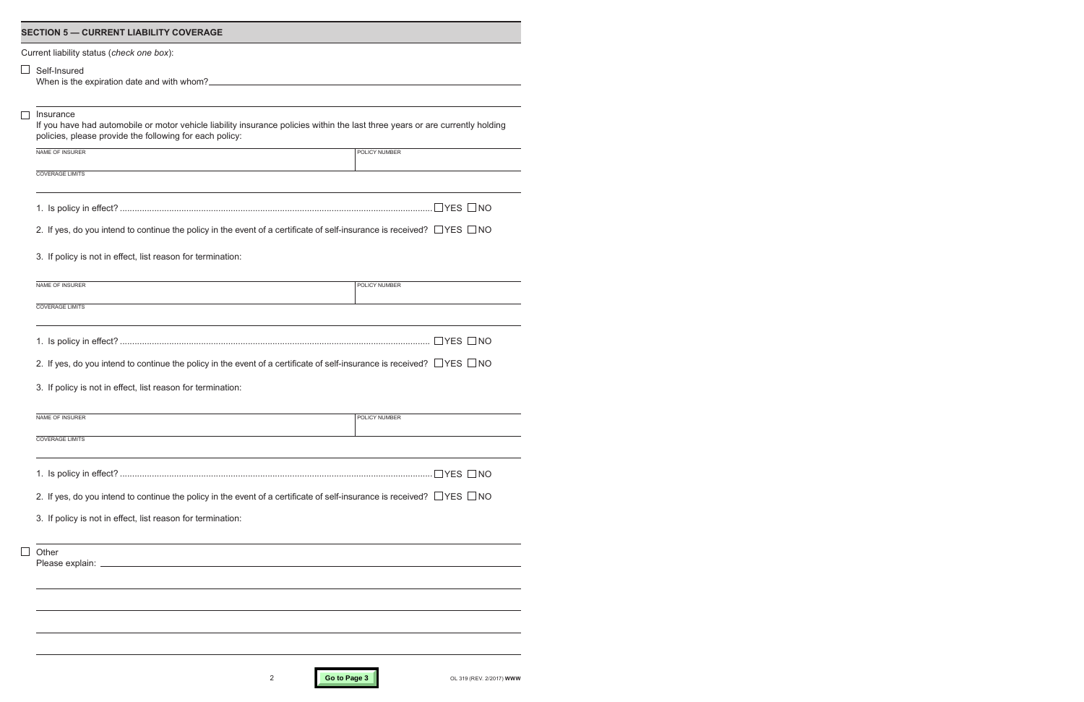| <b>SECTION 5 - CURRENT LIABILITY COVERAGE</b>                                                                                                                                                         |               |  |  |  |  |
|-------------------------------------------------------------------------------------------------------------------------------------------------------------------------------------------------------|---------------|--|--|--|--|
| Current liability status (check one box):                                                                                                                                                             |               |  |  |  |  |
| Self-Insured<br>When is the expiration date and with whom?                                                                                                                                            |               |  |  |  |  |
| Insurance<br>If you have had automobile or motor vehicle liability insurance policies within the last three years or are currently holding<br>policies, please provide the following for each policy: |               |  |  |  |  |
| NAME OF INSURER                                                                                                                                                                                       | POLICY NUMBER |  |  |  |  |
| <b>COVERAGE LIMITS</b>                                                                                                                                                                                |               |  |  |  |  |
|                                                                                                                                                                                                       |               |  |  |  |  |
| 2. If yes, do you intend to continue the policy in the event of a certificate of self-insurance is received? $\Box$ YES $\Box$ NO                                                                     |               |  |  |  |  |
| 3. If policy is not in effect, list reason for termination:                                                                                                                                           |               |  |  |  |  |
| NAME OF INSURER                                                                                                                                                                                       | POLICY NUMBER |  |  |  |  |
| <b>COVERAGE LIMITS</b>                                                                                                                                                                                |               |  |  |  |  |
|                                                                                                                                                                                                       |               |  |  |  |  |
| 2. If yes, do you intend to continue the policy in the event of a certificate of self-insurance is received? $\Box$ YES $\Box$ NO                                                                     |               |  |  |  |  |
| 3. If policy is not in effect, list reason for termination:                                                                                                                                           |               |  |  |  |  |
| NAME OF INSURER                                                                                                                                                                                       | POLICY NUMBER |  |  |  |  |
| <b>COVERAGE LIMITS</b>                                                                                                                                                                                |               |  |  |  |  |
|                                                                                                                                                                                                       |               |  |  |  |  |
| 2. If yes, do you intend to continue the policy in the event of a certificate of self-insurance is received? $\Box$ YES $\Box$ NO                                                                     |               |  |  |  |  |
| 3. If policy is not in effect, list reason for termination:                                                                                                                                           |               |  |  |  |  |
| Other                                                                                                                                                                                                 |               |  |  |  |  |
|                                                                                                                                                                                                       |               |  |  |  |  |
|                                                                                                                                                                                                       |               |  |  |  |  |
|                                                                                                                                                                                                       |               |  |  |  |  |
|                                                                                                                                                                                                       |               |  |  |  |  |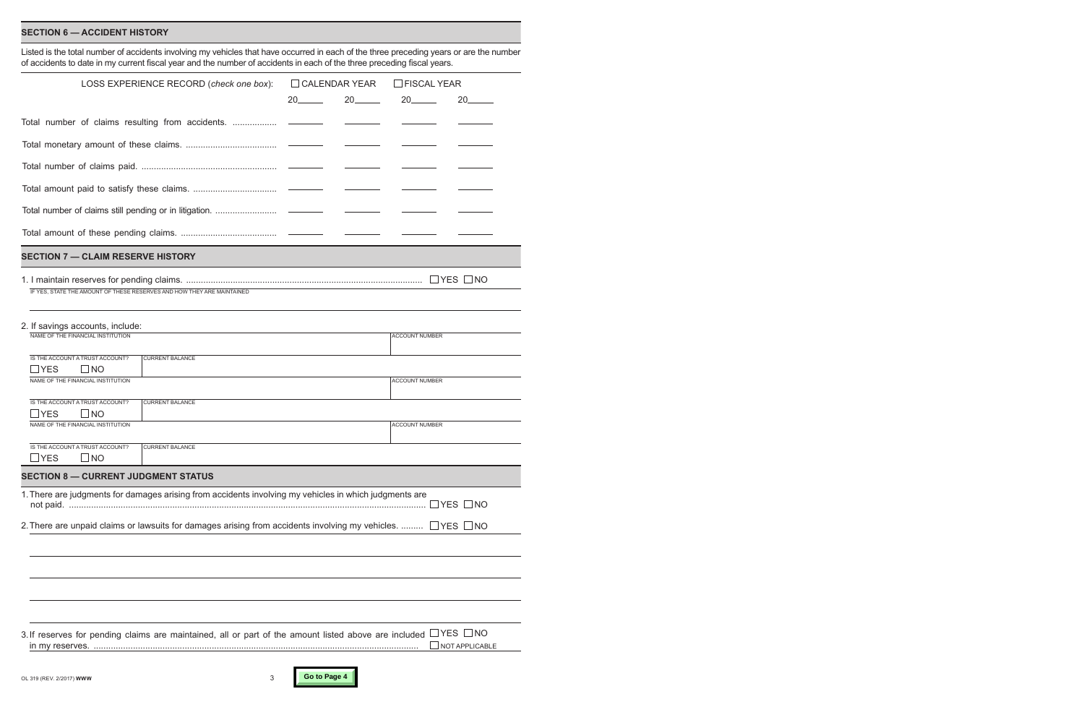#### **SECTION 6 — ACCIDENT HISTORY**

Listed is the total number of accidents involving my vehicles that have occurred in each of the three preceding years or are the number of accidents to date in my current fiscal year and the number of accidents in each of the three preceding fiscal years.

| LOSS EXPERIENCE RECORD (check one box):                                                                               |    | $\Box$ CALENDAR YEAR     |                       | $\Box$ FISCAL YEAR                        |  |
|-----------------------------------------------------------------------------------------------------------------------|----|--------------------------|-----------------------|-------------------------------------------|--|
|                                                                                                                       | 20 | $20$ <sub>________</sub> | 20                    | 20_                                       |  |
| Total number of claims resulting from accidents.                                                                      |    |                          |                       |                                           |  |
|                                                                                                                       |    |                          |                       |                                           |  |
|                                                                                                                       |    |                          |                       |                                           |  |
|                                                                                                                       |    |                          |                       |                                           |  |
|                                                                                                                       |    |                          |                       |                                           |  |
|                                                                                                                       |    |                          |                       |                                           |  |
| <b>SECTION 7 - CLAIM RESERVE HISTORY</b>                                                                              |    |                          |                       |                                           |  |
| IF YES. STATE THE AMOUNT OF THESE RESERVES AND HOW THEY ARE MAINTAINED                                                |    |                          |                       |                                           |  |
| 2. If savings accounts, include:<br>NAME OF THE FINANCIAL INSTITUTION                                                 |    |                          | <b>ACCOUNT NUMBER</b> |                                           |  |
| IS THE ACCOUNT A TRUST ACCOUNT?<br><b>CURRENT BALANCE</b>                                                             |    |                          |                       |                                           |  |
| $\sqcup$ YES<br>$\sqcup$ NO                                                                                           |    |                          |                       |                                           |  |
| NAME OF THE FINANCIAL INSTITUTION                                                                                     |    |                          | <b>ACCOUNT NUMBER</b> |                                           |  |
| IS THE ACCOUNT A TRUST ACCOUNT?<br><b>CURRENT BALANCE</b><br><b>YES</b><br>$\sqcup$ NO                                |    |                          |                       |                                           |  |
| NAME OF THE FINANCIAL INSTITUTION                                                                                     |    |                          | <b>ACCOUNT NUMBER</b> |                                           |  |
| IS THE ACCOUNT A TRUST ACCOUNT?<br><b>CURRENT BALANCE</b><br><b>YES</b><br>$\sqcup$ NO                                |    |                          |                       |                                           |  |
| <b>SECTION 8 - CURRENT JUDGMENT STATUS</b>                                                                            |    |                          |                       |                                           |  |
| 1. There are judgments for damages arising from accidents involving my vehicles in which judgments are                |    |                          |                       | ∃YES □NO                                  |  |
| 2. There are unpaid claims or lawsuits for damages arising from accidents involving my vehicles. $\Box$ YES $\Box$ NO |    |                          |                       |                                           |  |
|                                                                                                                       |    |                          |                       |                                           |  |
|                                                                                                                       |    |                          |                       |                                           |  |
|                                                                                                                       |    |                          |                       |                                           |  |
|                                                                                                                       |    |                          |                       |                                           |  |
| 3. If reserves for pending claims are maintained, all or part of the amount listed above are included                 |    |                          |                       | $\exists$ YES $\Box$ NO<br>NOT APPLICABLE |  |